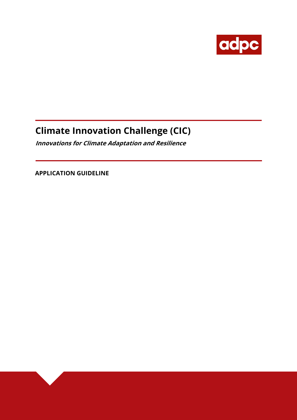

# **Climate Innovation Challenge (CIC)**

**Innovations for Climate Adaptation and Resilience** 

 **APPLICATION GUIDELINE**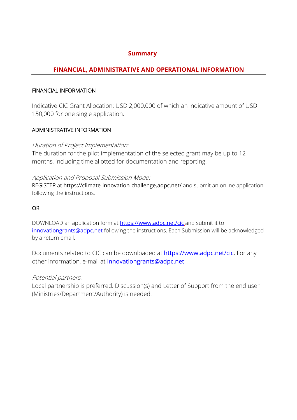# **Summary**

# **FINANCIAL, ADMINISTRATIVE AND OPERATIONAL INFORMATION**

### FINANCIAL INFORMATION

Indicative CIC Grant Allocation: USD 2,000,000 of which an indicative amount of USD 150,000 for one single application.

# ADMINISTRATIVE INFORMATION

# Duration of Project Implementation:

The duration for the pilot implementation of the selected grant may be up to 12 months, including time allotted for documentation and reporting.

### Application and Proposal Submission Mode:

REGISTER at https://climate-innovation-challenge.adpc.net/ and submit an online application following the instructions.

### OR

DOWNLOAD an application form at **https://www.adpc.net/cic** and submit it to innovationgrants@adpc.net following the instructions. Each Submission will be acknowledged by a return email.

Documents related to CIC can be downloaded at **https://www.adpc.net/cic.** For any other information, e-mail at *innovationgrants@adpc.net* 

# Potential partners:

Local partnership is preferred. Discussion(s) and Letter of Support from the end user (Ministries/Department/Authority) is needed.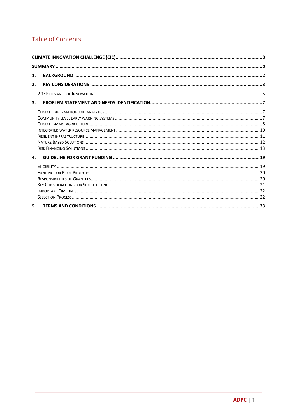# **Table of Contents**

| 1. |  |
|----|--|
| 2. |  |
|    |  |
| 3. |  |
|    |  |
|    |  |
|    |  |
|    |  |
|    |  |
|    |  |
|    |  |
| 4. |  |
|    |  |
|    |  |
|    |  |
|    |  |
|    |  |
|    |  |
| 5. |  |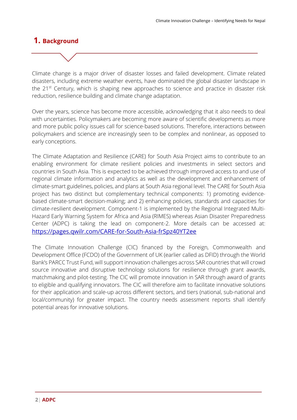# **1. Background**

Climate change is a major driver of disaster losses and failed development. Climate related disasters, including extreme weather events, have dominated the global disaster landscape in the  $21^{st}$  Century, which is shaping new approaches to science and practice in disaster risk reduction, resilience building and climate change adaptation.

Over the years, science has become more accessible, acknowledging that it also needs to deal with uncertainties. Policymakers are becoming more aware of scientific developments as more and more public policy issues call for science-based solutions. Therefore, interactions between policymakers and science are increasingly seen to be complex and nonlinear, as opposed to early conceptions.

The Climate Adaptation and Resilience (CARE) for South Asia Project aims to contribute to an enabling environment for climate resilient policies and investments in select sectors and countries in South Asia. This is expected to be achieved through improved access to and use of regional climate information and analytics as well as the development and enhancement of climate-smart guidelines, policies, and plans at South Asia regional level. The CARE for South Asia project has two distinct but complementary technical components: 1) promoting evidencebased climate-smart decision-making; and 2) enhancing policies, standards and capacities for climate-resilient development. Component-1 is implemented by the Regional Integrated Multi-Hazard Early Warning System for Africa and Asia (RIMES) whereas Asian Disaster Preparedness Center (ADPC) is taking the lead on component-2. More details can be accessed at: https://pages.qwilr.com/CARE-for-South-Asia-frSpz40YT2ee

The Climate Innovation Challenge (CIC) financed by the Foreign, Commonwealth and Development Office (FCDO) of the Government of UK (earlier called as DFID) through the World Bank's PARCC Trust Fund, will support innovation challenges across SAR countries that will crowd source innovative and disruptive technology solutions for resilience through grant awards, matchmaking and pilot-testing. The CIC will promote innovation in SAR through award of grants to eligible and qualifying innovators. The CIC will therefore aim to facilitate innovative solutions for their application and scale-up across different sectors, and tiers (national, sub-national and local/community) for greater impact. The country needs assessment reports shall identify potential areas for innovative solutions.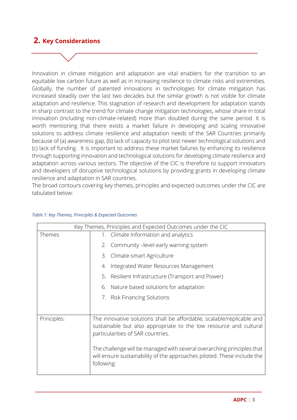# **2. Key Considerations**

Innovation in climate mitigation and adaptation are vital enablers for the transition to an equitable low carbon future as well as in increasing resilience to climate risks and extremities. Globally, the number of patented innovations in technologies for climate mitigation has increased steadily over the last two decades but the similar growth is not visible for climate adaptation and resilience. This stagnation of research and development for adaptation stands in sharp contrast to the trend for climate change mitigation technologies, whose share in total innovation (including non-climate-related) more than doubled during the same period. It is worth mentioning that there exists a market failure in developing and scaling innovative solutions to address climate resilience and adaptation needs of the SAR Countries primarily because of (a) awareness gap, (b) lack of capacity to pilot test newer technological solutions and (c) lack of funding. It is important to address these market failures by enhancing its resilience through supporting innovation and technological solutions for developing climate resilience and adaptation across various sectors. The objective of the CIC is therefore to support innovators and developers of disruptive technological solutions by providing grants in developing climate resilience and adaptation in SAR countries.

The broad contours covering key themes, principles and expected outcomes under the CIC are tabulated below:

| Key Themes, Principles and Expected Outcomes under the CIC |                                                                                                                                                                                 |
|------------------------------------------------------------|---------------------------------------------------------------------------------------------------------------------------------------------------------------------------------|
| Themes                                                     | Climate Information and analytics<br>1.                                                                                                                                         |
|                                                            | Community -level-early warning system<br>2.                                                                                                                                     |
|                                                            | Climate-smart Agriculture<br>З.                                                                                                                                                 |
|                                                            | Integrated Water Resources Management<br>4.                                                                                                                                     |
|                                                            | Resilient Infrastructure (Transport and Power)<br>5.                                                                                                                            |
|                                                            | Nature based solutions for adaptation<br>6.                                                                                                                                     |
|                                                            | 7. Risk Financing Solutions                                                                                                                                                     |
|                                                            |                                                                                                                                                                                 |
| Principles:                                                | The innovative solutions shall be affordable, scalable/replicable and<br>sustainable but also appropriate to the low resource and cultural<br>particularities of SAR countries. |
|                                                            | The challenge will be managed with several overarching principles that<br>will ensure sustainability of the approaches piloted. These include the<br>following:                 |

#### *Table 1: Key Themes, Principles & Expected Outcomes*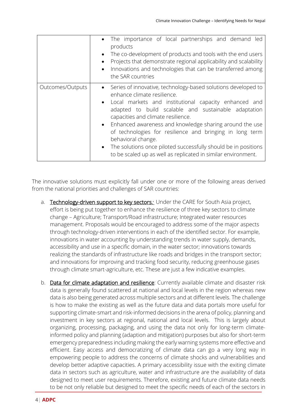|                  | • The importance of local partnerships and demand led<br>products<br>The co-development of products and tools with the end users<br>$\bullet$<br>Projects that demonstrate regional applicability and scalability<br>$\bullet$<br>Innovations and technologies that can be transferred among<br>$\bullet$<br>the SAR countries                                                                                                                                                                                                              |
|------------------|---------------------------------------------------------------------------------------------------------------------------------------------------------------------------------------------------------------------------------------------------------------------------------------------------------------------------------------------------------------------------------------------------------------------------------------------------------------------------------------------------------------------------------------------|
| Outcomes/Outputs | • Series of innovative, technology-based solutions developed to<br>enhance climate resilience.<br>• Local markets and institutional capacity enhanced and<br>adapted to build scalable and sustainable adaptation<br>capacities and climate resilience.<br>• Enhanced awareness and knowledge sharing around the use<br>of technologies for resilience and bringing in long term<br>behavioral change.<br>• The solutions once piloted successfully should be in positions<br>to be scaled up as well as replicated in similar environment. |

The innovative solutions must explicitly fall under one or more of the following areas derived from the national priorities and challenges of SAR countries:

- a. Technology-driven support to key sectors: Under the CARE for South Asia project, effort is being put together to enhance the resilience of three key sectors to climate change – Agriculture; Transport/Road infrastructure; Integrated water resources management. Proposals would be encouraged to address some of the major aspects through technology-driven interventions in each of the identified sector. For example, innovations in water accounting by understanding trends in water supply, demands, accessibility and use in a specific domain, in the water sector; innovations towards realizing the standards of infrastructure like roads and bridges in the transport sector; and innovations for improving and tracking food security, reducing greenhouse gases through climate smart-agriculture, etc. These are just a few indicative examples.
- b. Data for climate adaptation and resilience: Currently available climate and disaster risk data is generally found scattered at national and local levels in the region whereas new data is also being generated across multiple sectors and at different levels. The challenge is how to make the existing as well as the future data and data portals more useful for supporting climate-smart and risk-informed decisions in the arena of policy, planning and investment in key sectors at regional, national and local levels. This is largely about organizing, processing, packaging, and using the data not only for long-term climateinformed policy and planning (adaption and mitigation) purposes but also for short-term emergency preparedness including making the early warning systems more effective and efficient. Easy access and democratizing of climate data can go a very long way in empowering people to address the concerns of climate shocks and vulnerabilities and develop better adaptive capacities. A primary accessibility issue with the exiting climate data in sectors such as agriculture, water and infrastructure are the availability of data designed to meet user requirements. Therefore, existing and future climate data needs to be not only reliable but designed to meet the specific needs of each of the sectors in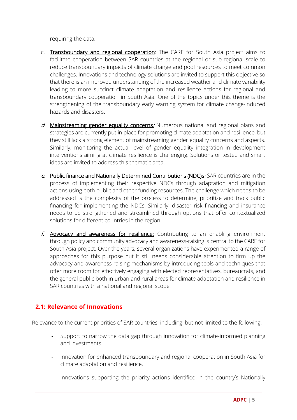requiring the data.

- c. Transboundary and regional cooperation: The CARE for South Asia project aims to facilitate cooperation between SAR countries at the regional or sub-regional scale to reduce transboundary impacts of climate change and pool resources to meet common challenges. Innovations and technology solutions are invited to support this objective so that there is an improved understanding of the increased weather and climate variability leading to more succinct climate adaptation and resilience actions for regional and transboundary cooperation in South Asia. One of the topics under this theme is the strengthening of the transboundary early warning system for climate change-induced hazards and disasters.
- d. Mainstreaming gender equality concerns. Numerous national and regional plans and strategies are currently put in place for promoting climate adaptation and resilience, but they still lack a strong element of mainstreaming gender equality concerns and aspects. Similarly, monitoring the actual level of gender equality integration in development interventions aiming at climate resilience is challenging. Solutions or tested and smart ideas are invited to address this thematic area.
- e. Public finance and Nationally Determined Contributions (NDC)s. SAR countries are in the process of implementing their respective NDCs through adaptation and mitigation actions using both public and other funding resources. The challenge which needs to be addressed is the complexity of the process to determine, prioritize and track public financing for implementing the NDCs. Similarly, disaster risk financing and insurance needs to be strengthened and streamlined through options that offer contextualized solutions for different countries in the region.
- f. Advocacy and awareness for resilience: Contributing to an enabling environment through policy and community advocacy and awareness-raising is central to the CARE for South Asia project. Over the years, several organizations have experimented a range of approaches for this purpose but it still needs considerable attention to firm up the advocacy and awareness-raising mechanisms by introducing tools and techniques that offer more room for effectively engaging with elected representatives, bureaucrats, and the general public both in urban and rural areas for climate adaptation and resilience in SAR countries with a national and regional scope.

# **2.1: Relevance of Innovations**

Relevance to the current priorities of SAR countries, including, but not limited to the following:

- Support to narrow the data gap through innovation for climate-informed planning and investments.
- Innovation for enhanced transboundary and regional cooperation in South Asia for climate adaptation and resilience.
- Innovations supporting the priority actions identified in the country's Nationally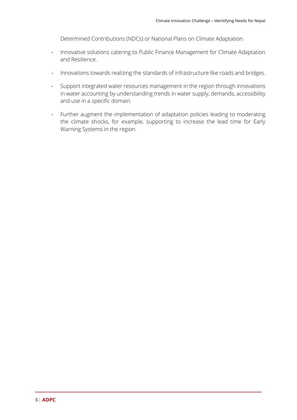Determined Contributions (NDCs) or National Plans on Climate Adaptation.

- Innovative solutions catering to Public Finance Management for Climate Adaptation and Resilience.
- Innovations towards realizing the standards of infrastructure like roads and bridges.
- Support integrated water resources management in the region through innovations in water accounting by understanding trends in water supply, demands, accessibility and use in a specific domain.
- Further augment the implementation of adaptation policies leading to moderating the climate shocks, for example, supporting to increase the lead time for Early Warning Systems in the region.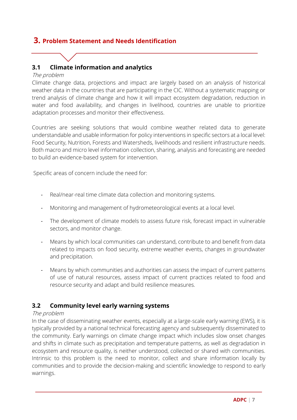# **3. Problem Statement and Needs Identification**

# **3.1 Climate information and analytics**

#### The problem

Climate change data, projections and impact are largely based on an analysis of historical weather data in the countries that are participating in the CIC. Without a systematic mapping or trend analysis of climate change and how it will impact ecosystem degradation, reduction in water and food availability, and changes in livelihood, countries are unable to prioritize adaptation processes and monitor their effectiveness.

Countries are seeking solutions that would combine weather related data to generate understandable and usable information for policy interventions in specific sectors at a local level: Food Security, Nutrition, Forests and Watersheds, livelihoods and resilient infrastructure needs. Both macro and micro level information collection, sharing, analysis and forecasting are needed to build an evidence-based system for intervention.

Specific areas of concern include the need for:

- Real/near-real time climate data collection and monitoring systems.
- Monitoring and management of hydrometeorological events at a local level.
- The development of climate models to assess future risk, forecast impact in vulnerable sectors, and monitor change.
- Means by which local communities can understand, contribute to and benefit from data related to impacts on food security, extreme weather events, changes in groundwater and precipitation.
- Means by which communities and authorities can assess the impact of current patterns of use of natural resources, assess impact of current practices related to food and resource security and adapt and build resilience measures.

# **3.2 Community level early warning systems**

#### The problem

In the case of disseminating weather events, especially at a large-scale early warning (EWS), it is typically provided by a national technical forecasting agency and subsequently disseminated to the community. Early warnings on climate change impact which includes slow onset changes and shifts in climate such as precipitation and temperature patterns, as well as degradation in ecosystem and resource quality, is neither understood, collected or shared with communities. Intrinsic to this problem is the need to monitor, collect and share information locally by communities and to provide the decision-making and scientific knowledge to respond to early warnings.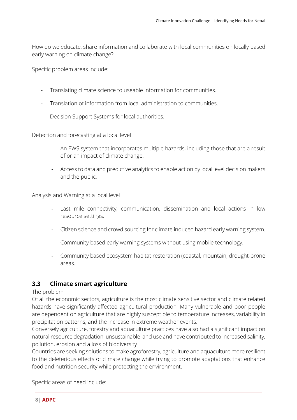How do we educate, share information and collaborate with local communities on locally based early warning on climate change?

Specific problem areas include:

- Translating climate science to useable information for communities.
- Translation of information from local administration to communities.
- Decision Support Systems for local authorities.

Detection and forecasting at a local level

- An EWS system that incorporates multiple hazards, including those that are a result of or an impact of climate change.
- Access to data and predictive analytics to enable action by local level decision makers and the public.

Analysis and Warning at a local level

- Last mile connectivity, communication, dissemination and local actions in low resource settings.
- Citizen science and crowd sourcing for climate induced hazard early warning system.
- Community based early warning systems without using mobile technology.
- Community based ecosystem habitat restoration (coastal, mountain, drought-prone areas.

#### **3.3 Climate smart agriculture**

The problem

Of all the economic sectors, agriculture is the most climate sensitive sector and climate related hazards have significantly affected agricultural production. Many vulnerable and poor people are dependent on agriculture that are highly susceptible to temperature increases, variability in precipitation patterns, and the increase in extreme weather events.

Conversely agriculture, forestry and aquaculture practices have also had a significant impact on natural resource degradation, unsustainable land use and have contributed to increased salinity, pollution, erosion and a loss of biodiversity

Countries are seeking solutions to make agroforestry, agriculture and aquaculture more resilient to the deleterious effects of climate change while trying to promote adaptations that enhance food and nutrition security while protecting the environment.

Specific areas of need include: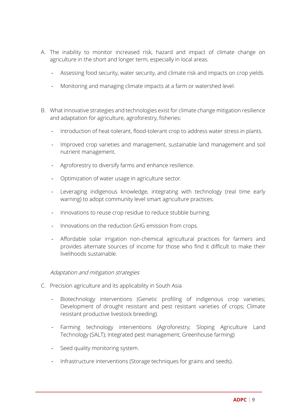- A. The inability to monitor increased risk, hazard and impact of climate change on agriculture in the short and longer term, especially in local areas.
	- Assessing food security, water security, and climate risk and impacts on crop yields.
	- Monitoring and managing climate impacts at a farm or watershed level.
- B. What innovative strategies and technologies exist for climate change mitigation resilience and adaptation for agriculture, agroforestry, fisheries:
	- Introduction of heat-tolerant, flood-tolerant crop to address water stress in plants.
	- Improved crop varieties and management, sustainable land management and soil nutrient management.
	- Agroforestry to diversify farms and enhance resilience.
	- Optimization of water usage in agriculture sector.
	- Leveraging indigenous knowledge, integrating with technology (real time early warning) to adopt community level smart agriculture practices.
	- Innovations to reuse crop residue to reduce stubble burning.
	- Innovations on the reduction GHG emission from crops.
	- Affordable solar irrigation non-chemical agricultural practices for farmers and provides alternate sources of income for those who find it difficult to make their livelihoods sustainable.

#### Adaptation and mitigation strategies

- C. Precision agriculture and its applicability in South Asia
	- Biotechnology interventions (Genetic profiling of indigenous crop varieties; Development of drought resistant and pest resistant varieties of crops; Climate resistant productive livestock breeding).
	- Farming technology interventions (Agroforestry; Sloping Agriculture Land Technology (SALT); Integrated pest management; Greenhouse farming)
	- Seed quality monitoring system.
	- Infrastructure interventions (Storage techniques for grains and seeds).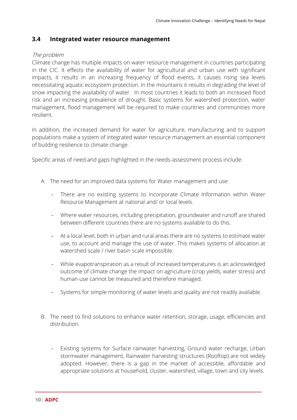### **3.4 Integrated water resource management**

#### The problem

Climate change has multiple impacts on water resource management in countries participating in the CIC. It effects the availability of water for agricultural and urban use with significant impacts, it results in an increasing frequency of flood events, it causes rising sea levels necessitating aquatic ecosystem protection. In the mountains it results in degrading the level of snow impacting the availability of water. In most countries it leads to both an increased flood risk and an increasing prevalence of drought. Basic systems for watershed protection, water management, flood management will be required to make countries and communities more resilient.

In addition, the increased demand for water for agriculture, manufacturing and to support populations make a system of integrated water resource management an essential component of building resilience to climate change.

Specific areas of need and gaps highlighted in the needs-assessment process include:

- A. The need for an improved data systems for Water management and use:
	- There are no existing systems to incorporate Climate Information within Water Resource Management at national and/ or local levels.
	- Where water resources, including precipitation, groundwater and runoff are shared between different countries there are no systems available to do this.
	- At a local level, both in urban and rural areas there are no systems to estimate water use, to account and manage the use of water. This makes systems of allocation at watershed scale / river basin scale impossible.
	- While evapotranspiration as a result of increased temperatures is an acknowledged outcome of climate change the impact on agriculture (crop yields, water stress) and human use cannot be measured and therefore managed.
	- Systems for simple monitoring of water levels and quality are not readily available.
- B. The need to find solutions to enhance water retention, storage, usage, efficiencies and distribution.
	- Existing systems for Surface rainwater harvesting, Ground water recharge, Urban stormwater management, Rainwater harvesting structures (Rooftop) are not widely adopted. However, there is a gap in the market of accessible, affordable and appropriate solutions at household, cluster, watershed, village, town and city levels.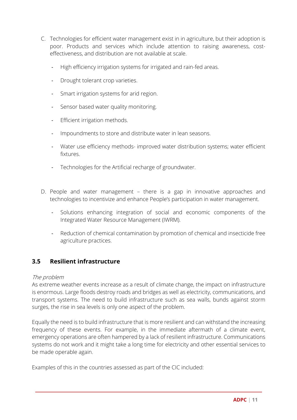- C. Technologies for efficient water management exist in in agriculture, but their adoption is poor. Products and services which include attention to raising awareness, costeffectiveness, and distribution are not available at scale.
	- High efficiency irrigation systems for irrigated and rain-fed areas.
	- Drought tolerant crop varieties.
	- Smart irrigation systems for arid region.
	- Sensor based water quality monitoring.
	- Efficient irrigation methods.
	- Impoundments to store and distribute water in lean seasons.
	- Water use efficiency methods- improved water distribution systems; water efficient fixtures.
	- Technologies for the Artificial recharge of groundwater.
- D. People and water management there is a gap in innovative approaches and technologies to incentivize and enhance People's participation in water management.
	- Solutions enhancing integration of social and economic components of the Integrated Water Resource Management (IWRM).
	- Reduction of chemical contamination by promotion of chemical and insecticide free agriculture practices.

# **3.5 Resilient infrastructure**

#### The problem

As extreme weather events increase as a result of climate change, the impact on infrastructure is enormous. Large floods destroy roads and bridges as well as electricity, communications, and transport systems. The need to build infrastructure such as sea walls, bunds against storm surges, the rise in sea levels is only one aspect of the problem.

Equally the need is to build infrastructure that is more resilient and can withstand the increasing frequency of these events. For example, in the immediate aftermath of a climate event, emergency operations are often hampered by a lack of resilient infrastructure. Communications systems do not work and it might take a long time for electricity and other essential services to be made operable again.

Examples of this in the countries assessed as part of the CIC included: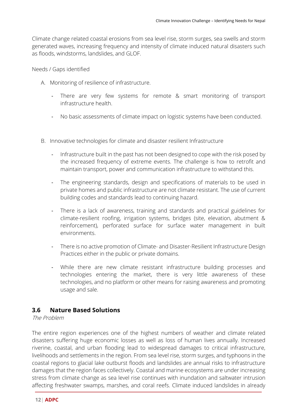Climate change related coastal erosions from sea level rise, storm surges, sea swells and storm generated waves, increasing frequency and intensity of climate induced natural disasters such as floods, windstorms, landslides, and GLOF.

Needs / Gaps identified

- A. Monitoring of resilience of infrastructure.
	- There are very few systems for remote & smart monitoring of transport infrastructure health.
	- No basic assessments of climate impact on logistic systems have been conducted.
- B. Innovative technologies for climate and disaster resilient Infrastructure
	- Infrastructure built in the past has not been designed to cope with the risk posed by the increased frequency of extreme events. The challenge is how to retrofit and maintain transport, power and communication infrastructure to withstand this.
	- The engineering standards, design and specifications of materials to be used in private homes and public infrastructure are not climate resistant. The use of current building codes and standards lead to continuing hazard.
	- There is a lack of awareness, training and standards and practical guidelines for climate-resilient roofing, irrigation systems, bridges (site, elevation, abutment & reinforcement), perforated surface for surface water management in built environments.
	- There is no active promotion of Climate- and Disaster-Resilient Infrastructure Design Practices either in the public or private domains.
	- While there are new climate resistant infrastructure building processes and technologies entering the market, there is very little awareness of these technologies, and no platform or other means for raising awareness and promoting usage and sale.

# **3.6 Nature Based Solutions**

The Problem

The entire region experiences one of the highest numbers of weather and climate related disasters suffering huge economic losses as well as loss of human lives annually. Increased riverine, coastal, and urban flooding lead to widespread damages to critical infrastructure, livelihoods and settlements in the region. From sea level rise, storm surges, and typhoons in the coastal regions to glacial lake outburst floods and landslides are annual risks to infrastructure damages that the region faces collectively. Coastal and marine ecosystems are under increasing stress from climate change as sea level rise continues with inundation and saltwater intrusion affecting freshwater swamps, marshes, and coral reefs. Climate induced landslides in already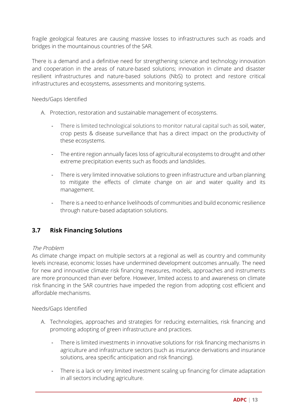fragile geological features are causing massive losses to infrastructures such as roads and bridges in the mountainous countries of the SAR.

There is a demand and a definitive need for strengthening science and technology innovation and cooperation in the areas of nature-based solutions; innovation in climate and disaster resilient infrastructures and nature-based solutions (NbS) to protect and restore critical infrastructures and ecosystems, assessments and monitoring systems.

Needs/Gaps Identified

- A. Protection, restoration and sustainable management of ecosystems.
	- There is limited technological solutions to monitor natural capital such as soil, water, crop pests & disease surveillance that has a direct impact on the productivity of these ecosystems.
	- The entire region annually faces loss of agricultural ecosystems to drought and other extreme precipitation events such as floods and landslides.
	- There is very limited innovative solutions to green infrastructure and urban planning to mitigate the effects of climate change on air and water quality and its management.
	- There is a need to enhance livelihoods of communities and build economic resilience through nature-based adaptation solutions.

# **3.7 Risk Financing Solutions**

#### The Problem

As climate change impact on multiple sectors at a regional as well as country and community levels increase, economic losses have undermined development outcomes annually. The need for new and innovative climate risk financing measures, models, approaches and instruments are more pronounced than ever before. However, limited access to and awareness on climate risk financing in the SAR countries have impeded the region from adopting cost efficient and affordable mechanisms.

#### Needs/Gaps Identified

- A. Technologies, approaches and strategies for reducing externalities, risk financing and promoting adopting of green infrastructure and practices.
	- There is limited investments in innovative solutions for risk financing mechanisms in agriculture and infrastructure sectors (such as insurance derivations and insurance solutions, area specific anticipation and risk financing).
	- There is a lack or very limited investment scaling up financing for climate adaptation in all sectors including agriculture.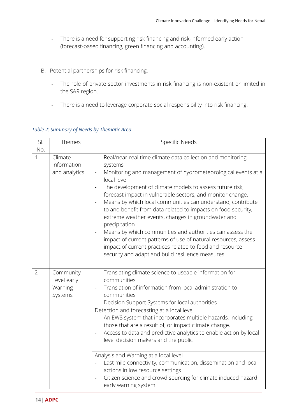- There is a need for supporting risk financing and risk-informed early action (forecast-based financing, green financing and accounting).
- B. Potential partnerships for risk financing.
	- The role of private sector investments in risk financing is non-existent or limited in the SAR region.
	- There is a need to leverage corporate social responsibility into risk financing.

| SI.<br>No.     | Themes                                         | Specific Needs                                                                                                                                                                                                                                                                                                                                                                                                                                                                                                                                                                                                                                                                                                                                                                             |
|----------------|------------------------------------------------|--------------------------------------------------------------------------------------------------------------------------------------------------------------------------------------------------------------------------------------------------------------------------------------------------------------------------------------------------------------------------------------------------------------------------------------------------------------------------------------------------------------------------------------------------------------------------------------------------------------------------------------------------------------------------------------------------------------------------------------------------------------------------------------------|
| 1              | Climate<br>Information<br>and analytics        | Real/near-real time climate data collection and monitoring<br>$\frac{1}{2}$<br>systems<br>Monitoring and management of hydrometeorological events at a<br>local level<br>The development of climate models to assess future risk,<br>$\overline{a}$<br>forecast impact in vulnerable sectors, and monitor change.<br>Means by which local communities can understand, contribute<br>$\overline{a}$<br>to and benefit from data related to impacts on food security,<br>extreme weather events, changes in groundwater and<br>precipitation<br>Means by which communities and authorities can assess the<br>impact of current patterns of use of natural resources, assess<br>impact of current practices related to food and resource<br>security and adapt and build resilience measures. |
| $\overline{2}$ | Community<br>Level early<br>Warning<br>Systems | Translating climate science to useable information for<br>$\blacksquare$<br>communities<br>Translation of information from local administration to<br>communities<br>Decision Support Systems for local authorities<br>Detection and forecasting at a local level<br>An EWS system that incorporates multiple hazards, including<br>those that are a result of, or impact climate change.<br>Access to data and predictive analytics to enable action by local<br>$\qquad \qquad -$<br>level decision makers and the public<br>Analysis and Warning at a local level<br>Last mile connectivity, communication, dissemination and local<br>actions in low resource settings<br>Citizen science and crowd sourcing for climate induced hazard<br>$\overline{a}$<br>early warning system      |

### *Table 2: Summary of Needs by Thematic Area*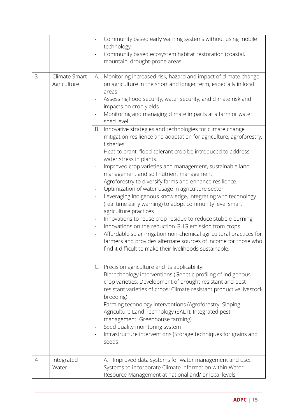|   |                              | Community based early warning systems without using mobile<br>technology<br>Community based ecosystem habitat restoration (coastal,<br>mountain, drought-prone areas.                                                                                                                                                                                                                                                                                                                                                                                                                                                                                                                                                                                                                                                                                                                                                                                                                                                                                                                                                                                                      |
|---|------------------------------|----------------------------------------------------------------------------------------------------------------------------------------------------------------------------------------------------------------------------------------------------------------------------------------------------------------------------------------------------------------------------------------------------------------------------------------------------------------------------------------------------------------------------------------------------------------------------------------------------------------------------------------------------------------------------------------------------------------------------------------------------------------------------------------------------------------------------------------------------------------------------------------------------------------------------------------------------------------------------------------------------------------------------------------------------------------------------------------------------------------------------------------------------------------------------|
| 3 | Climate Smart<br>Agriculture | Monitoring increased risk, hazard and impact of climate change<br>A.<br>on agriculture in the short and longer term, especially in local<br>areas.<br>Assessing Food security, water security, and climate risk and<br>impacts on crop yields<br>Monitoring and managing climate impacts at a farm or water<br>shed level                                                                                                                                                                                                                                                                                                                                                                                                                                                                                                                                                                                                                                                                                                                                                                                                                                                  |
|   |                              | Innovative strategies and technologies for climate change<br>В.<br>mitigation resilience and adaptation for agriculture, agroforestry,<br>fisheries:<br>Heat-tolerant, flood-tolerant crop be introduced to address<br>$\overline{\phantom{a}}$<br>water stress in plants.<br>Improved crop varieties and management, sustainable land<br>$\overline{\phantom{a}}$<br>management and soil nutrient management.<br>Agroforestry to diversify farms and enhance resilience<br>$\overline{\phantom{a}}$<br>Optimization of water usage in agriculture sector<br>$\qquad \qquad \blacksquare$<br>Leveraging indigenous knowledge, integrating with technology<br>$\overline{\phantom{a}}$<br>(real time early warning) to adopt community level smart<br>agriculture practices<br>Innovations to reuse crop residue to reduce stubble burning<br>$\blacksquare$<br>Innovations on the reduction GHG emission from crops<br>$\blacksquare$<br>Affordable solar irrigation non-chemical agricultural practices for<br>$\qquad \qquad \blacksquare$<br>farmers and provides alternate sources of income for those who<br>find it difficult to make their livelihoods sustainable. |
|   |                              | C. Precision agriculture and its applicability:<br>Biotechnology interventions (Genetic profiling of indigenous<br>crop varieties; Development of drought resistant and pest<br>resistant varieties of crops; Climate resistant productive livestock<br>breeding)<br>Farming technology interventions (Agroforestry; Sloping<br>Agriculture Land Technology (SALT); Integrated pest<br>management; Greenhouse farming)<br>Seed quality monitoring system<br>$\qquad \qquad \blacksquare$<br>Infrastructure interventions (Storage techniques for grains and<br>seeds                                                                                                                                                                                                                                                                                                                                                                                                                                                                                                                                                                                                       |
| 4 | Integrated<br>Water          | A. Improved data systems for water management and use:<br>Systems to incorporate Climate Information within Water<br>Resource Management at national and/ or local levels                                                                                                                                                                                                                                                                                                                                                                                                                                                                                                                                                                                                                                                                                                                                                                                                                                                                                                                                                                                                  |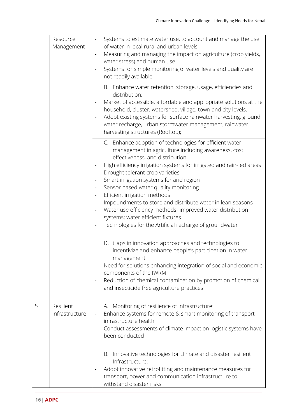|   | Resource<br>Management      | Systems to estimate water use, to account and manage the use<br>of water in local rural and urban levels<br>Measuring and managing the impact on agriculture (crop yields,<br>$\overline{\phantom{a}}$<br>water stress) and human use<br>Systems for simple monitoring of water levels and quality are<br>not readily available<br>B. Enhance water retention, storage, usage, efficiencies and<br>distribution:<br>Market of accessible, affordable and appropriate solutions at the<br>household, cluster, watershed, village, town and city levels.<br>Adopt existing systems for surface rainwater harvesting, ground<br>water recharge, urban stormwater management, rainwater                                                                                  |
|---|-----------------------------|----------------------------------------------------------------------------------------------------------------------------------------------------------------------------------------------------------------------------------------------------------------------------------------------------------------------------------------------------------------------------------------------------------------------------------------------------------------------------------------------------------------------------------------------------------------------------------------------------------------------------------------------------------------------------------------------------------------------------------------------------------------------|
|   |                             | harvesting structures (Rooftop);<br>C. Enhance adoption of technologies for efficient water<br>management in agriculture including awareness, cost<br>effectiveness, and distribution.<br>High efficiency irrigation systems for irrigated and rain-fed areas<br>Drought tolerant crop varieties<br>$\overline{\phantom{0}}$<br>Smart irrigation systems for arid region<br>Sensor based water quality monitoring<br>$\overline{\phantom{0}}$<br>Efficient irrigation methods<br>$\qquad \qquad \blacksquare$<br>Impoundments to store and distribute water in lean seasons<br>$\overline{\phantom{a}}$<br>Water use efficiency methods- improved water distribution<br>systems; water efficient fixtures<br>Technologies for the Artificial recharge of groundwater |
|   |                             | D. Gaps in innovation approaches and technologies to<br>incentivize and enhance people's participation in water<br>management:<br>Need for solutions enhancing integration of social and economic<br>components of the IWRM<br>Reduction of chemical contamination by promotion of chemical<br>$\qquad \qquad \blacksquare$<br>and insecticide free agriculture practices                                                                                                                                                                                                                                                                                                                                                                                            |
| 5 | Resilient<br>Infrastructure | A. Monitoring of resilience of infrastructure:<br>Enhance systems for remote & smart monitoring of transport<br>$\overline{\phantom{a}}$<br>infrastructure health.<br>Conduct assessments of climate impact on logistic systems have<br>$\blacksquare$<br>been conducted                                                                                                                                                                                                                                                                                                                                                                                                                                                                                             |
|   |                             | B. Innovative technologies for climate and disaster resilient<br>Infrastructure:<br>Adopt innovative retrofitting and maintenance measures for<br>transport, power and communication infrastructure to<br>withstand disaster risks.                                                                                                                                                                                                                                                                                                                                                                                                                                                                                                                                  |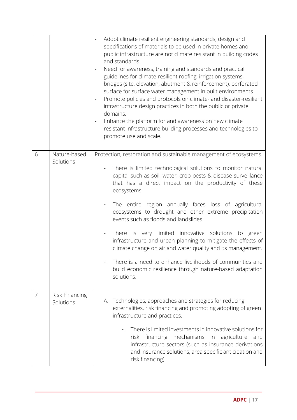|   |                             | Adopt climate resilient engineering standards, design and<br>specifications of materials to be used in private homes and<br>public infrastructure are not climate resistant in building codes<br>and standards.<br>Need for awareness, training and standards and practical<br>guidelines for climate-resilient roofing, irrigation systems,<br>bridges (site, elevation, abutment & reinforcement), perforated<br>surface for surface water management in built environments<br>Promote policies and protocols on climate- and disaster-resilient<br>infrastructure design practices in both the public or private<br>domains.<br>Enhance the platform for and awareness on new climate<br>$\qquad \qquad \blacksquare$<br>resistant infrastructure building processes and technologies to<br>promote use and scale. |
|---|-----------------------------|-----------------------------------------------------------------------------------------------------------------------------------------------------------------------------------------------------------------------------------------------------------------------------------------------------------------------------------------------------------------------------------------------------------------------------------------------------------------------------------------------------------------------------------------------------------------------------------------------------------------------------------------------------------------------------------------------------------------------------------------------------------------------------------------------------------------------|
| 6 | Nature-based<br>Solutions   | Protection, restoration and sustainable management of ecosystems<br>There is limited technological solutions to monitor natural<br>capital such as soil, water, crop pests & disease surveillance<br>that has a direct impact on the productivity of these<br>ecosystems.<br>The entire region annually faces loss of agricultural<br>ecosystems to drought and other extreme precipitation<br>events such as floods and landslides.<br>There is very limited innovative solutions to green<br>infrastructure and urban planning to mitigate the effects of<br>climate change on air and water quality and its management.<br>There is a need to enhance livelihoods of communities and<br>build economic resilience through nature-based adaptation<br>solutions.                                                    |
| 7 | Risk Financing<br>Solutions | A. Technologies, approaches and strategies for reducing<br>externalities, risk financing and promoting adopting of green<br>infrastructure and practices.<br>There is limited investments in innovative solutions for<br>risk financing mechanisms in agriculture<br>and<br>infrastructure sectors (such as insurance derivations<br>and insurance solutions, area specific anticipation and<br>risk financing)                                                                                                                                                                                                                                                                                                                                                                                                       |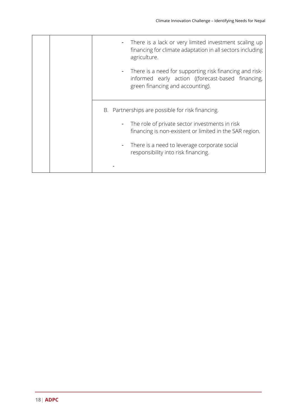| There is a lack or very limited investment scaling up<br>financing for climate adaptation in all sectors including<br>agriculture.                                 |
|--------------------------------------------------------------------------------------------------------------------------------------------------------------------|
| There is a need for supporting risk financing and risk-<br>$\blacksquare$<br>informed early action ((forecast-based financing,<br>green financing and accounting). |
| B. Partnerships are possible for risk financing.                                                                                                                   |
| The role of private sector investments in risk<br>$\blacksquare$<br>financing is non-existent or limited in the SAR region.                                        |
| There is a need to leverage corporate social<br>۰.<br>responsibility into risk financing.                                                                          |
|                                                                                                                                                                    |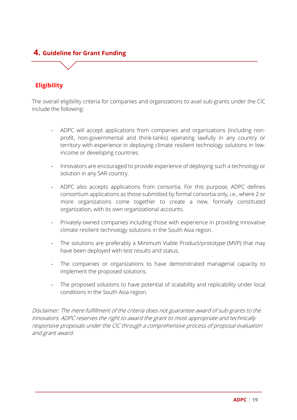# **4. Guideline for Grant Funding**

# **Eligibility**

The overall eligibility criteria for companies and organizations to avail sub-grants under the CIC include the following:

- ADPC will accept applications from companies and organizations (including nonprofit, non-governmental and think-tanks) operating lawfully in any country or territory with experience in deploying climate resilient technology solutions in lowincome or developing countries.
- Innovators are encouraged to provide experience of deploying such a technology or solution in any SAR country.
- ADPC also accepts applications from consortia. For this purpose, ADPC defines consortium applications as those submitted by formal consortia only, i.e., where 2 or more organizations come together to create a new, formally constituted organization, with its own organizational accounts.
- Privately-owned companies including those with experience in providing innovative climate resilient technology solutions in the South Asia region.
- The solutions are preferably a Minimum Viable Product/prototype (MVP) that may have been deployed with test results and status.
- The companies or organizations to have demonstrated managerial capacity to implement the proposed solutions.
- The proposed solutions to have potential of scalability and replicability under local conditions in the South Asia region.

Disclaimer: The mere fulfillment of the criteria does not guarantee award of sub-grants to the innovators. ADPC reserves the right to award the grant to most appropriate and technically responsive proposals under the CIC through a comprehensive process of proposal evaluation and grant award.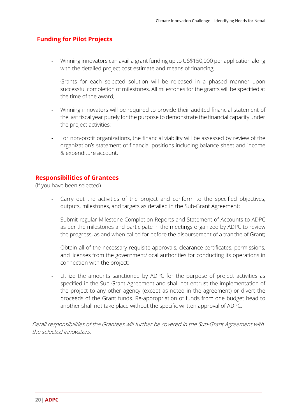### **Funding for Pilot Projects**

- Winning innovators can avail a grant funding up to US\$150,000 per application along with the detailed project cost estimate and means of financing;
- Grants for each selected solution will be released in a phased manner upon successful completion of milestones. All milestones for the grants will be specified at the time of the award;
- Winning innovators will be required to provide their audited financial statement of the last fiscal year purely for the purpose to demonstrate the financial capacity under the project activities;
- For non-profit organizations, the financial viability will be assessed by review of the organization's statement of financial positions including balance sheet and income & expenditure account.

#### **Responsibilities of Grantees**

(If you have been selected)

- Carry out the activities of the project and conform to the specified objectives, outputs, milestones, and targets as detailed in the Sub-Grant Agreement;
- Submit regular Milestone Completion Reports and Statement of Accounts to ADPC as per the milestones and participate in the meetings organized by ADPC to review the progress, as and when called for before the disbursement of a tranche of Grant;
- Obtain all of the necessary requisite approvals, clearance certificates, permissions, and licenses from the government/local authorities for conducting its operations in connection with the project;
- Utilize the amounts sanctioned by ADPC for the purpose of project activities as specified in the Sub-Grant Agreement and shall not entrust the implementation of the project to any other agency (except as noted in the agreement) or divert the proceeds of the Grant funds. Re-appropriation of funds from one budget head to another shall not take place without the specific written approval of ADPC.

Detail responsibilities of the Grantees will further be covered in the Sub-Grant Agreement with the selected innovators.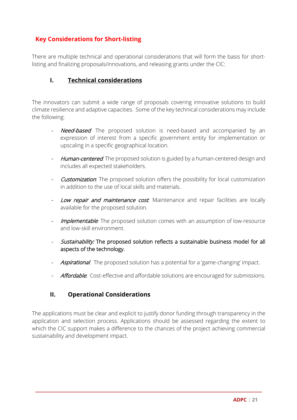# **Key Considerations for Short-listing**

There are multiple technical and operational considerations that will form the basis for shortlisting and finalizing proposals/innovations, and releasing grants under the CIC:

# **I. Technical considerations**

The innovators can submit a wide range of proposals covering innovative solutions to build climate resilience and adaptive capacities. Some of the key technical considerations may include the following:

- Need-based: The proposed solution is need-based and accompanied by an expression of interest from a specific government entity for implementation or upscaling in a specific geographical location.
- Human-centered. The proposed solution is guided by a human-centered design and includes all expected stakeholders.
- **Customization**. The proposed solution offers the possibility for local customization in addition to the use of local skills and materials.
- Low repair and maintenance cost. Maintenance and repair facilities are locally available for the proposed solution.
- Implementable. The proposed solution comes with an assumption of low-resource and low-skill environment.
- Sustainability: The proposed solution reflects a sustainable business model for all aspects of the technology.
- Aspirational: The proposed solution has a potential for a 'game-changing' impact.
- Affordable. Cost-effective and affordable solutions are encouraged for submissions.

# **II. Operational Considerations**

The applications must be clear and explicit to justify donor funding through transparency in the application and selection process. Applications should be assessed regarding the extent to which the CIC support makes a difference to the chances of the project achieving commercial sustainability and development impact.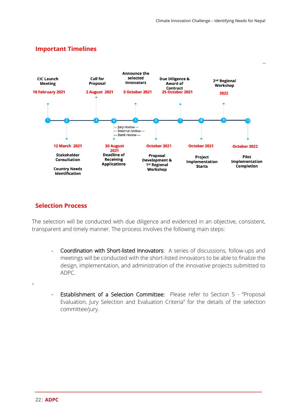# **Important Timelines**



# **Selection Process**

The selection will be conducted with due diligence and evidenced in an objective, consistent, transparent and timely manner. The process involves the following main steps:

- Coordination with Short-listed Innovators: A series of discussions, follow-ups and meetings will be conducted with the short-listed innovators to be able to finalize the design, implementation, and administration of the innovative projects submitted to ADPC.
- Establishment of a Selection Committee: Please refer to Section 5 "Proposal Evaluation, Jury Selection and Evaluation Criteria" for the details of the selection committee/jury.

-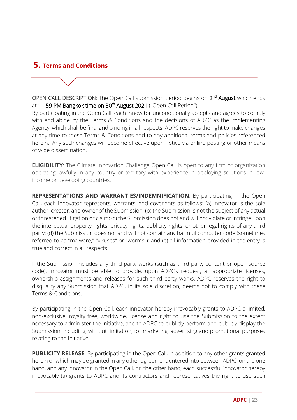# **5. Terms and Conditions**

OPEN CALL DESCRIPTION: The Open Call submission period begins on 2<sup>nd</sup> August which ends at 11:59 PM Bangkok time on 30<sup>th</sup> August 2021 ("Open Call Period").

By participating in the Open Call, each innovator unconditionally accepts and agrees to comply with and abide by the Terms & Conditions and the decisions of ADPC as the Implementing Agency, which shall be final and binding in all respects. ADPC reserves the right to make changes at any time to these Terms & Conditions and to any additional terms and policies referenced herein. Any such changes will become effective upon notice via online posting or other means of wide dissemination.

**ELIGIBILITY**: The Climate Innovation Challenge Open Call is open to any firm or organization operating lawfully in any country or territory with experience in deploying solutions in lowincome or developing countries.

**REPRESENTATIONS AND WARRANTIES/INDEMNIFICATION**: By participating in the Open Call, each innovator represents, warrants, and covenants as follows: (a) innovator is the sole author, creator, and owner of the Submission; (b) the Submission is not the subject of any actual or threatened litigation or claim; (c) the Submission does not and will not violate or infringe upon the intellectual property rights, privacy rights, publicity rights, or other legal rights of any third party; (d) the Submission does not and will not contain any harmful computer code (sometimes referred to as "malware," "viruses" or "worms"); and (e) all information provided in the entry is true and correct in all respects.

If the Submission includes any third party works (such as third party content or open source code), innovator must be able to provide, upon ADPC's request, all appropriate licenses, ownership assignments and releases for such third party works. ADPC reserves the right to disqualify any Submission that ADPC, in its sole discretion, deems not to comply with these Terms & Conditions.

By participating in the Open Call, each innovator hereby irrevocably grants to ADPC a limited, non-exclusive, royalty free, worldwide, license and right to use the Submission to the extent necessary to administer the Initiative, and to ADPC to publicly perform and publicly display the Submission, including, without limitation, for marketing, advertising and promotional purposes relating to the Initiative.

**PUBLICITY RELEASE:** By participating in the Open Call, in addition to any other grants granted herein or which may be granted in any other agreement entered into between ADPC, on the one hand, and any innovator in the Open Call, on the other hand, each successful innovator hereby irrevocably (a) grants to ADPC and its contractors and representatives the right to use such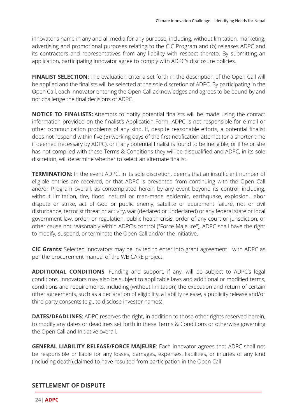innovator's name in any and all media for any purpose, including, without limitation, marketing, advertising and promotional purposes relating to the CIC Program and (b) releases ADPC and its contractors and representatives from any liability with respect thereto. By submitting an application, participating innovator agree to comply with ADPC's disclosure policies.

**FINALIST SELECTION:** The evaluation criteria set forth in the description of the Open Call will be applied and the finalists will be selected at the sole discretion of ADPC. By participating in the Open Call, each innovator entering the Open Call acknowledges and agrees to be bound by and not challenge the final decisions of ADPC.

**NOTICE TO FINALISTS:** Attempts to notify potential finalists will be made using the contact information provided on the finalist's Application Form. ADPC is not responsible for e-mail or other communication problems of any kind. If, despite reasonable efforts, a potential finalist does not respond within five (5) working days of the first notification attempt (or a shorter time if deemed necessary by ADPC), or if any potential finalist is found to be ineligible, or if he or she has not complied with these Terms & Conditions they will be disqualified and ADPC, in its sole discretion, will determine whether to select an alternate finalist.

**TERMINATION:** In the event ADPC, in its sole discretion, deems that an insufficient number of eligible entries are received, or that ADPC is prevented from continuing with the Open Call and/or Program overall, as contemplated herein by any event beyond its control, including, without limitation, fire, flood, natural or man-made epidemic, earthquake, explosion, labor dispute or strike, act of God or public enemy, satellite or equipment failure, riot or civil disturbance, terrorist threat or activity, war (declared or undeclared) or any federal state or local government law, order, or regulation, public health crisis, order of any court or jurisdiction, or other cause not reasonably within ADPC's control ("Force Majeure"), ADPC shall have the right to modify, suspend, or terminate the Open Call and/or the Initiative.

**CIC Grants**: Selected innovators may be invited to enter into grant agreement with ADPC as per the procurement manual of the WB CARE project.

**ADDITIONAL CONDITIONS**: Funding and support, if any, will be subject to ADPC's legal conditions. Innovators may also be subject to applicable laws and additional or modified terms, conditions and requirements, including (without limitation) the execution and return of certain other agreements, such as a declaration of eligibility, a liability release, a publicity release and/or third party consents (e.g., to disclose investor names).

**DATES/DEADLINES:** ADPC reserves the right, in addition to those other rights reserved herein, to modify any dates or deadlines set forth in these Terms & Conditions or otherwise governing the Open Call and Initiative overall.

**GENERAL LIABILITY RELEASE/FORCE MAJEURE**: Each innovator agrees that ADPC shall not be responsible or liable for any losses, damages, expenses, liabilities, or injuries of any kind (including death) claimed to have resulted from participation in the Open Call

# **SETTLEMENT OF DISPUTE**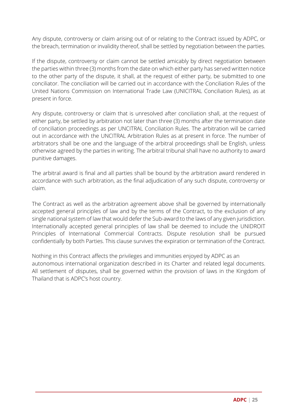Any dispute, controversy or claim arising out of or relating to the Contract issued by ADPC, or the breach, termination or invalidity thereof, shall be settled by negotiation between the parties.

If the dispute, controversy or claim cannot be settled amicably by direct negotiation between the parties within three (3) months from the date on which either party has served written notice to the other party of the dispute, it shall, at the request of either party, be submitted to one conciliator. The conciliation will be carried out in accordance with the Conciliation Rules of the United Nations Commission on International Trade Law (UNICITRAL Conciliation Rules), as at present in force.

Any dispute, controversy or claim that is unresolved after conciliation shall, at the request of either party, be settled by arbitration not later than three (3) months after the termination date of conciliation proceedings as per UNCITRAL Conciliation Rules. The arbitration will be carried out in accordance with the UNCITRAL Arbitration Rules as at present in force. The number of arbitrators shall be one and the language of the arbitral proceedings shall be English, unless otherwise agreed by the parties in writing. The arbitral tribunal shall have no authority to award punitive damages.

The arbitral award is final and all parties shall be bound by the arbitration award rendered in accordance with such arbitration, as the final adjudication of any such dispute, controversy or claim.

The Contract as well as the arbitration agreement above shall be governed by internationally accepted general principles of law and by the terms of the Contract, to the exclusion of any single national system of law that would defer the Sub-award to the laws of any given jurisdiction. Internationally accepted general principles of law shall be deemed to include the UNIDROIT Principles of International Commercial Contracts. Dispute resolution shall be pursued confidentially by both Parties. This clause survives the expiration or termination of the Contract.

Nothing in this Contract affects the privileges and immunities enjoyed by ADPC as an autonomous international organization described in its Charter and related legal documents. All settlement of disputes, shall be governed within the provision of laws in the Kingdom of Thailand that is ADPC's host country.